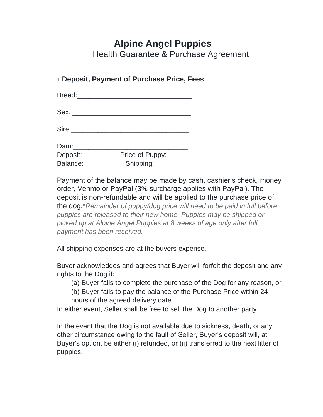# **Alpine Angel Puppies**

Health Guarantee & Purchase Agreement

## **1. Deposit, Payment of Purchase Price, Fees**

Breed:\_\_\_\_\_\_\_\_\_\_\_\_\_\_\_\_\_\_\_\_\_\_\_\_\_\_\_\_\_\_

Sex: \_\_\_\_\_\_\_\_\_\_\_\_\_\_\_\_\_\_\_\_\_\_\_\_\_\_\_\_\_\_\_

Sire:\_\_\_\_\_\_\_\_\_\_\_\_\_\_\_\_\_\_\_\_\_\_\_\_\_\_\_\_\_\_\_

Dam:\_\_\_\_\_\_\_\_\_\_\_\_\_\_\_\_\_\_\_\_\_\_\_\_\_\_\_\_\_\_

Deposit: Price of Puppy: Balance: \_\_\_\_\_\_\_\_\_\_\_ Shipping: \_\_\_\_\_\_\_\_\_

Payment of the balance may be made by cash, cashier's check, money order, Venmo or PayPal (3% surcharge applies with PayPal). The deposit is non-refundable and will be applied to the purchase price of the dog.\**Remainder of puppy/dog price will need to be paid in full before puppies are released to their new home. Puppies may be shipped or picked up at Alpine Angel Puppies at 8 weeks of age only after full payment has been received.*

All shipping expenses are at the buyers expense.

Buyer acknowledges and agrees that Buyer will forfeit the deposit and any rights to the Dog if:

(a) Buyer fails to complete the purchase of the Dog for any reason, or

(b) Buyer fails to pay the balance of the Purchase Price within 24 hours of the agreed delivery date.

In either event, Seller shall be free to sell the Dog to another party.

In the event that the Dog is not available due to sickness, death, or any other circumstance owing to the fault of Seller, Buyer's deposit will, at Buyer's option, be either (i) refunded, or (ii) transferred to the next litter of puppies.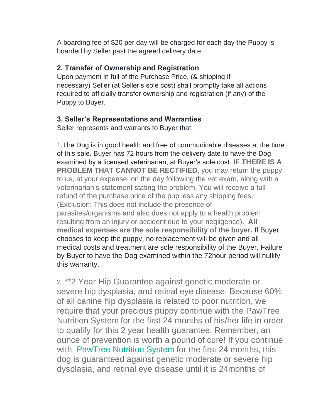A boarding fee of \$20 per day will be charged for each day the Puppy is boarded by Seller past the agreed delivery date.

#### **2. Transfer of Ownership and Registration**

Upon payment in full of the Purchase Price, (& shipping if necessary) Seller (at Seller's sole cost) shall promptly take all actions required to officially transfer ownership and registration (if any) of the Puppy to Buyer.

## **3. Seller's Representations and Warranties**

Seller represents and warrants to Buyer that:

1.The Dog is in good health and free of communicable diseases at the time of this sale. Buyer has 72 hours from the delivery date to have the Dog examined by a licensed veterinarian, at Buyer's sole cost. **IF THERE IS A PROBLEM THAT CANNOT BE RECTIFIED, you may return the puppy** to us, at your expense, on the day following the vet exam, along with a veterinarian's statement stating the problem. You will receive a full refund of the purchase price of the pup less any shipping fees. (Exclusion: This does not include the presence of parasites/organisms and also does not apply to a health problem resulting from an injury or accident due to your negligence). **All medical expenses are the sole responsibility of the buyer.** If Buyer chooses to keep the puppy, no replacement will be given and all medical costs and treatment are sole responsibility of the Buyer. Failure by Buyer to have the Dog examined within the 72hour period will nullify this warranty.

2. \*\*2 Year Hip Guarantee against genetic moderate or severe hip dysplasia, and retinal eye disease. Because 60% of all canine hip dysplasia is related to poor nutrition, we require that your precious puppy continue with the PawTree Nutrition System for the first 24 months of his/her life in order to qualify for this 2 year health guarantee. Remember, an ounce of prevention is worth a pound of cure! If you continue with PawTree Nutrition System for the first 24 months, this dog is guaranteed against genetic moderate or severe hip dysplasia, and retinal eye disease until it is 24months of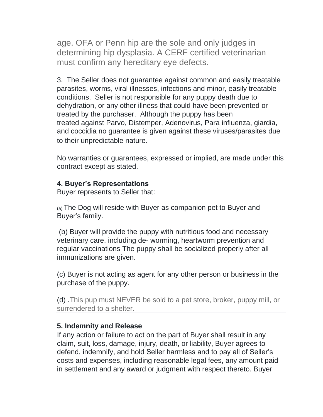age. OFA or Penn hip are the sole and only judges in determining hip dysplasia. A CERF certified veterinarian must confirm any hereditary eye defects.

3. The Seller does not guarantee against common and easily treatable parasites, worms, viral illnesses, infections and minor, easily treatable conditions. Seller is not responsible for any puppy death due to dehydration, or any other illness that could have been prevented or treated by the purchaser. Although the puppy has been treated against Parvo, Distemper, Adenovirus, Para influenza, giardia, and coccidia no guarantee is given against these viruses/parasites due to their unpredictable nature.

No warranties or guarantees, expressed or implied, are made under this contract except as stated.

#### **4. Buyer's Representations**

Buyer represents to Seller that:

(a) The Dog will reside with Buyer as companion pet to Buyer and Buyer's family.

(b) Buyer will provide the puppy with nutritious food and necessary veterinary care, including de- worming, heartworm prevention and regular vaccinations The puppy shall be socialized properly after all immunizations are given.

(c) Buyer is not acting as agent for any other person or business in the purchase of the puppy.

(d) .This pup must NEVER be sold to a pet store, broker, puppy mill, or surrendered to a shelter.

## **5. Indemnity and Release**

If any action or failure to act on the part of Buyer shall result in any claim, suit, loss, damage, injury, death, or liability, Buyer agrees to defend, indemnify, and hold Seller harmless and to pay all of Seller's costs and expenses, including reasonable legal fees, any amount paid in settlement and any award or judgment with respect thereto. Buyer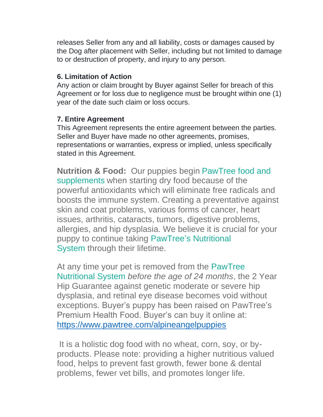releases Seller from any and all liability, costs or damages caused by the Dog after placement with Seller, including but not limited to damage to or destruction of property, and injury to any person.

## **6. Limitation of Action**

Any action or claim brought by Buyer against Seller for breach of this Agreement or for loss due to negligence must be brought within one (1) year of the date such claim or loss occurs.

# **7. Entire Agreement**

This Agreement represents the entire agreement between the parties. Seller and Buyer have made no other agreements, promises, representations or warranties, express or implied, unless specifically stated in this Agreement.

**Nutrition & Food:** Our puppies begin PawTree food and supplements when starting dry food because of the powerful antioxidants which will eliminate free radicals and boosts the immune system. Creating a preventative against skin and coat problems, various forms of cancer, heart issues, arthritis, cataracts, tumors, digestive problems, allergies, and hip dysplasia. We believe it is crucial for your puppy to continue taking PawTree's Nutritional System through their lifetime.

At any time your pet is removed from the PawTree Nutritional System *before the age of 24 months*, the 2 Year Hip Guarantee against genetic moderate or severe hip dysplasia, and retinal eye disease becomes void without exceptions. Buyer's puppy has been raised on PawTree's Premium Health Food. Buyer's can buy it online at: <https://www.pawtree.com/alpineangelpuppies>

It is a holistic dog food with no wheat, corn, soy, or byproducts. Please note: providing a higher nutritious valued food, helps to prevent fast growth, fewer bone & dental problems, fewer vet bills, and promotes longer life.